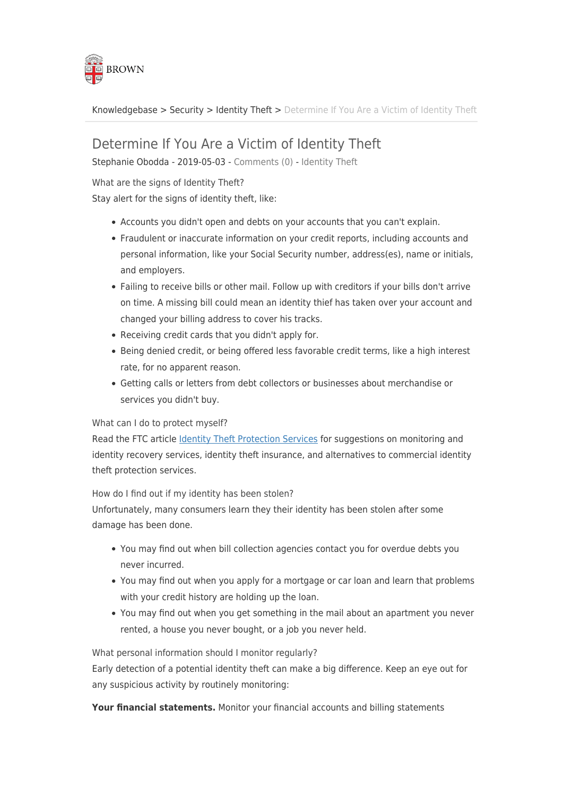

[Knowledgebase](https://ithelp.brown.edu/kb) > [Security](https://ithelp.brown.edu/kb/security-2) > [Identity Theft](https://ithelp.brown.edu/kb/identity-theft) > [Determine If You Are a Victim of Identity Theft](https://ithelp.brown.edu/kb/articles/determine-if-you-are-a-victim-of-identity-theft)

## Determine If You Are a Victim of Identity Theft

Stephanie Obodda - 2019-05-03 - [Comments \(0\)](#page--1-0) - [Identity Theft](https://ithelp.brown.edu/kb/identity-theft)

What are the signs of Identity Theft?

Stay alert for the signs of identity theft, like:

- Accounts you didn't open and debts on your accounts that you can't explain.
- Fraudulent or inaccurate information on your credit reports, including accounts and personal information, like your Social Security number, address(es), name or initials, and employers.
- Failing to receive bills or other mail. Follow up with creditors if your bills don't arrive on time. A missing bill could mean an identity thief has taken over your account and changed your billing address to cover his tracks.
- Receiving credit cards that you didn't apply for.
- Being denied credit, or being offered less favorable credit terms, like a high interest rate, for no apparent reason.
- Getting calls or letters from debt collectors or businesses about merchandise or services you didn't buy.

## What can I do to protect myself?

Read the FTC article [Identity Theft Protection Services](https://www.consumer.ftc.gov/articles/0235-identity-theft-protection-services) for suggestions on monitoring and identity recovery services, identity theft insurance, and alternatives to commercial identity theft protection services.

How do I find out if my identity has been stolen?

Unfortunately, many consumers learn they their identity has been stolen after some damage has been done.

- You may find out when bill collection agencies contact you for overdue debts you never incurred.
- You may find out when you apply for a mortgage or car loan and learn that problems with your credit history are holding up the loan.
- You may find out when you get something in the mail about an apartment you never rented, a house you never bought, or a job you never held.

What personal information should I monitor regularly?

Early detection of a potential identity theft can make a big difference. Keep an eye out for any suspicious activity by routinely monitoring:

**Your financial statements.** Monitor your financial accounts and billing statements